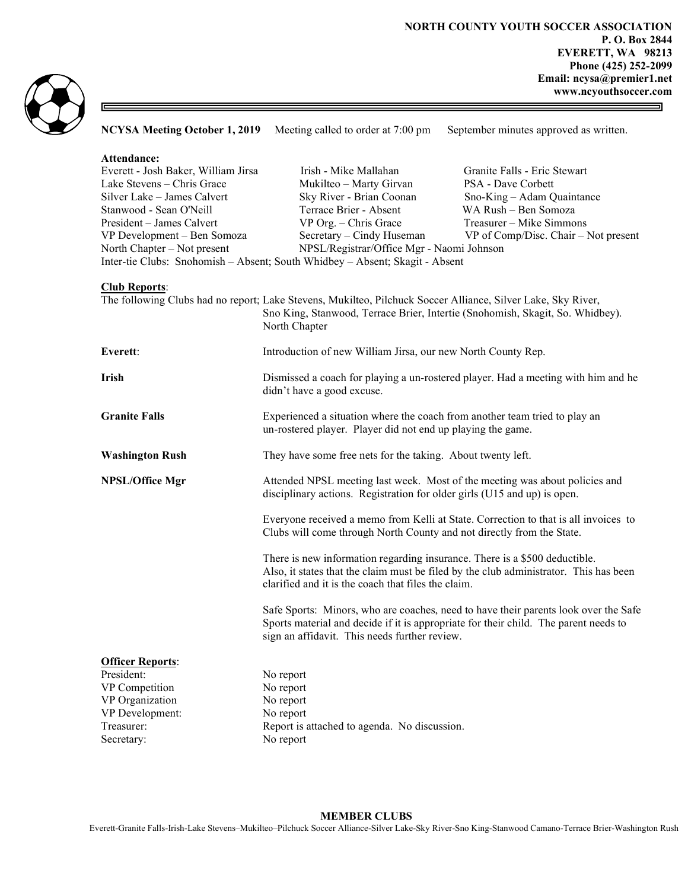

NCYSA Meeting October 1, 2019 Meeting called to order at 7:00 pm September minutes approved as written. Attendance: Everett - Josh Baker, William Jirsa Irish - Mike Mallahan Granite Falls - Eric Stewart Lake Stevens – Chris Grace Mukilteo – Marty Girvan PSA - Dave Corbett Silver Lake – James Calvert Sky River - Brian Coonan Sno-King – Adam Quaintance Stanwood - Sean O'Neill Terrace Brier - Absent WA Rush – Ben Somoza President – James Calvert VP Org. – Chris Grace Treasurer – Mike Simmons VP Development – Ben Somoza Secretary – Cindy Huseman VP of Comp/Disc. Chair – Not present North Chapter – Not present NPSL/Registrar/Office Mgr - Naomi Johnson Inter-tie Clubs: Snohomish – Absent; South Whidbey – Absent; Skagit - Absent Club Reports: The following Clubs had no report; Lake Stevens, Mukilteo, Pilchuck Soccer Alliance, Silver Lake, Sky River, Sno King, Stanwood, Terrace Brier, Intertie (Snohomish, Skagit, So. Whidbey). North Chapter Everett: Introduction of new William Jirsa, our new North County Rep. Irish Dismissed a coach for playing a un-rostered player. Had a meeting with him and he didn't have a good excuse. Granite Falls Experienced a situation where the coach from another team tried to play an un-rostered player. Player did not end up playing the game. Washington Rush They have some free nets for the taking. About twenty left. NPSL/Office Mgr Attended NPSL meeting last week. Most of the meeting was about policies and disciplinary actions. Registration for older girls (U15 and up) is open. Everyone received a memo from Kelli at State. Correction to that is all invoices to Clubs will come through North County and not directly from the State. There is new information regarding insurance. There is a \$500 deductible. Also, it states that the claim must be filed by the club administrator. This has been clarified and it is the coach that files the claim. Safe Sports: Minors, who are coaches, need to have their parents look over the Safe Sports material and decide if it is appropriate for their child. The parent needs to sign an affidavit. This needs further review. **Officer Reports:** President: No report VP Competition No report VP Organization No report VP Development: No report Treasurer: Report is attached to agenda. No discussion. Secretary: No report

## MEMBER CLUBS